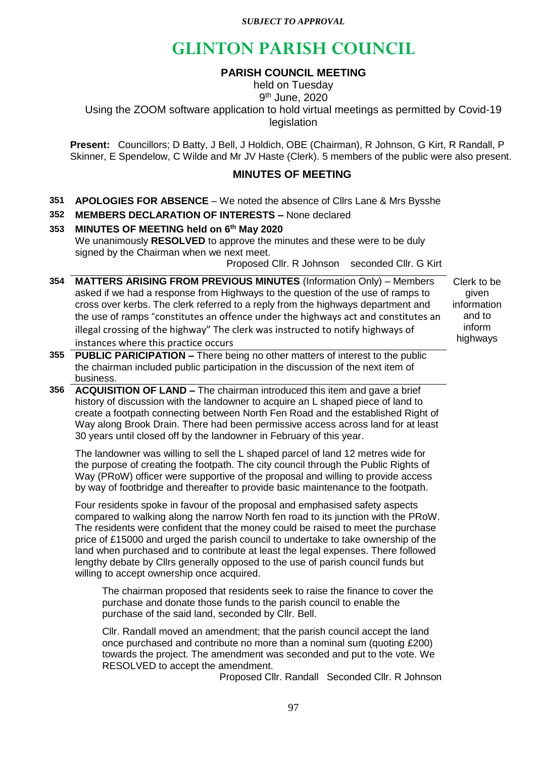*SUBJECT TO APPROVAL*

# **GLINTON PARISH COUNCIL**

# **PARISH COUNCIL MEETING**

held on Tuesday 9 th June, 2020 Using the ZOOM software application to hold virtual meetings as permitted by Covid-19 legislation

**Present:** Councillors; D Batty, J Bell, J Holdich, OBE (Chairman), R Johnson, G Kirt, R Randall, P Skinner, E Spendelow, C Wilde and Mr JV Haste (Clerk). 5 members of the public were also present.

# **MINUTES OF MEETING**

- **351 APOLOGIES FOR ABSENCE**  We noted the absence of Cllrs Lane & Mrs Bysshe
- **352 MEMBERS DECLARATION OF INTERESTS –** None declared

# **353 MINUTES OF MEETING held on 6 th May 2020** We unanimously **RESOLVED** to approve the minutes and these were to be duly signed by the Chairman when we next meet.

Proposed Cllr. R Johnson seconded Cllr. G Kirt

**354 MATTERS ARISING FROM PREVIOUS MINUTES** (Information Only) – Members asked if we had a response from Highways to the question of the use of ramps to cross over kerbs. The clerk referred to a reply from the highways department and the use of ramps "constitutes an offence under the highways act and constitutes an illegal crossing of the highway" The clerk was instructed to notify highways of instances where this practice occurs

Clerk to be given information and to inform highways

- **355 PUBLIC PARICIPATION –** There being no other matters of interest to the public the chairman included public participation in the discussion of the next item of business.
- **356 ACQUISITION OF LAND –** The chairman introduced this item and gave a brief history of discussion with the landowner to acquire an L shaped piece of land to create a footpath connecting between North Fen Road and the established Right of Way along Brook Drain. There had been permissive access across land for at least 30 years until closed off by the landowner in February of this year.

The landowner was willing to sell the L shaped parcel of land 12 metres wide for the purpose of creating the footpath. The city council through the Public Rights of Way (PRoW) officer were supportive of the proposal and willing to provide access by way of footbridge and thereafter to provide basic maintenance to the footpath.

Four residents spoke in favour of the proposal and emphasised safety aspects compared to walking along the narrow North fen road to its junction with the PRoW. The residents were confident that the money could be raised to meet the purchase price of £15000 and urged the parish council to undertake to take ownership of the land when purchased and to contribute at least the legal expenses. There followed lengthy debate by Cllrs generally opposed to the use of parish council funds but willing to accept ownership once acquired.

The chairman proposed that residents seek to raise the finance to cover the purchase and donate those funds to the parish council to enable the purchase of the said land, seconded by Cllr. Bell.

Cllr. Randall moved an amendment; that the parish council accept the land once purchased and contribute no more than a nominal sum (quoting £200) towards the project. The amendment was seconded and put to the vote. We RESOLVED to accept the amendment.

Proposed Cllr. Randall Seconded Cllr. R Johnson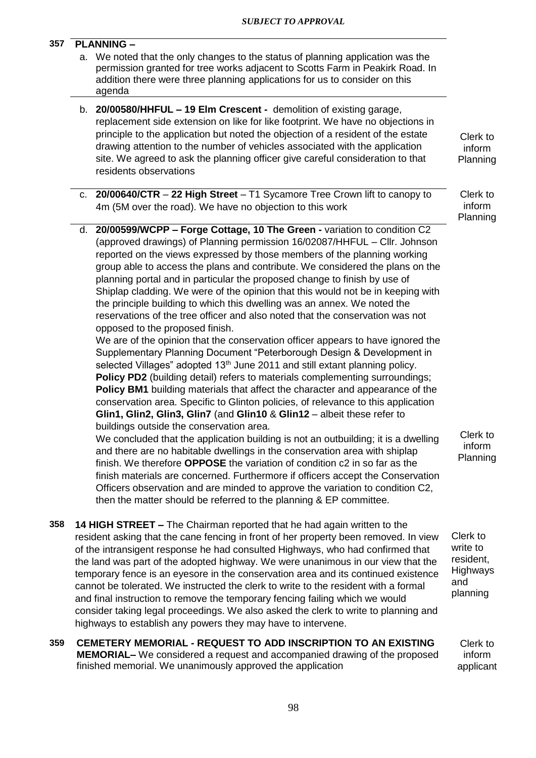| 357 | <b>PLANNING -</b> |                                                                                                                                                                                                                                                                                                                                                                                                                                                                                                                                                                                                                                                                                                                                                                                                                                                                                                                                                                                                                                                                                                                                                                                                                                                                                                                                 |                                                                  |
|-----|-------------------|---------------------------------------------------------------------------------------------------------------------------------------------------------------------------------------------------------------------------------------------------------------------------------------------------------------------------------------------------------------------------------------------------------------------------------------------------------------------------------------------------------------------------------------------------------------------------------------------------------------------------------------------------------------------------------------------------------------------------------------------------------------------------------------------------------------------------------------------------------------------------------------------------------------------------------------------------------------------------------------------------------------------------------------------------------------------------------------------------------------------------------------------------------------------------------------------------------------------------------------------------------------------------------------------------------------------------------|------------------------------------------------------------------|
|     |                   | a. We noted that the only changes to the status of planning application was the<br>permission granted for tree works adjacent to Scotts Farm in Peakirk Road. In<br>addition there were three planning applications for us to consider on this<br>agenda                                                                                                                                                                                                                                                                                                                                                                                                                                                                                                                                                                                                                                                                                                                                                                                                                                                                                                                                                                                                                                                                        |                                                                  |
|     |                   | b. 20/00580/HHFUL - 19 Elm Crescent - demolition of existing garage,<br>replacement side extension on like for like footprint. We have no objections in<br>principle to the application but noted the objection of a resident of the estate<br>drawing attention to the number of vehicles associated with the application<br>site. We agreed to ask the planning officer give careful consideration to that<br>residents observations                                                                                                                                                                                                                                                                                                                                                                                                                                                                                                                                                                                                                                                                                                                                                                                                                                                                                          | Clerk to<br>inform<br>Planning                                   |
|     |                   | c. 20/00640/CTR $-$ 22 High Street $-$ T1 Sycamore Tree Crown lift to canopy to<br>4m (5M over the road). We have no objection to this work                                                                                                                                                                                                                                                                                                                                                                                                                                                                                                                                                                                                                                                                                                                                                                                                                                                                                                                                                                                                                                                                                                                                                                                     | Clerk to<br>inform<br>Planning                                   |
|     |                   | d. 20/00599/WCPP - Forge Cottage, 10 The Green - variation to condition C2<br>(approved drawings) of Planning permission 16/02087/HHFUL - Cllr. Johnson<br>reported on the views expressed by those members of the planning working<br>group able to access the plans and contribute. We considered the plans on the<br>planning portal and in particular the proposed change to finish by use of<br>Shiplap cladding. We were of the opinion that this would not be in keeping with<br>the principle building to which this dwelling was an annex. We noted the<br>reservations of the tree officer and also noted that the conservation was not<br>opposed to the proposed finish.<br>We are of the opinion that the conservation officer appears to have ignored the<br>Supplementary Planning Document "Peterborough Design & Development in<br>selected Villages" adopted 13 <sup>th</sup> June 2011 and still extant planning policy.<br>Policy PD2 (building detail) refers to materials complementing surroundings;<br><b>Policy BM1</b> building materials that affect the character and appearance of the<br>conservation area. Specific to Glinton policies, of relevance to this application<br>Glin1, Glin2, Glin3, Glin7 (and Glin10 & Glin12 - albeit these refer to<br>buildings outside the conservation area. |                                                                  |
|     |                   | We concluded that the application building is not an outbuilding; it is a dwelling<br>and there are no habitable dwellings in the conservation area with shiplap<br>finish. We therefore OPPOSE the variation of condition c2 in so far as the<br>finish materials are concerned. Furthermore if officers accept the Conservation<br>Officers observation and are minded to approve the variation to condition C2,<br>then the matter should be referred to the planning & EP committee.                                                                                                                                                                                                                                                                                                                                                                                                                                                                                                                                                                                                                                                                                                                                                                                                                                        | Clerk to<br>inform<br>Planning                                   |
| 358 |                   | 14 HIGH STREET - The Chairman reported that he had again written to the<br>resident asking that the cane fencing in front of her property been removed. In view<br>of the intransigent response he had consulted Highways, who had confirmed that<br>the land was part of the adopted highway. We were unanimous in our view that the<br>temporary fence is an eyesore in the conservation area and its continued existence<br>cannot be tolerated. We instructed the clerk to write to the resident with a formal<br>and final instruction to remove the temporary fencing failing which we would<br>consider taking legal proceedings. We also asked the clerk to write to planning and<br>highways to establish any powers they may have to intervene.                                                                                                                                                                                                                                                                                                                                                                                                                                                                                                                                                                       | Clerk to<br>write to<br>resident,<br>Highways<br>and<br>planning |
| 359 |                   | <b>CEMETERY MEMORIAL - REQUEST TO ADD INSCRIPTION TO AN EXISTING</b><br><b>MEMORIAL-</b> We considered a request and accompanied drawing of the proposed<br>finished memorial. We unanimously approved the application                                                                                                                                                                                                                                                                                                                                                                                                                                                                                                                                                                                                                                                                                                                                                                                                                                                                                                                                                                                                                                                                                                          | Clerk to<br>inform<br>applicant                                  |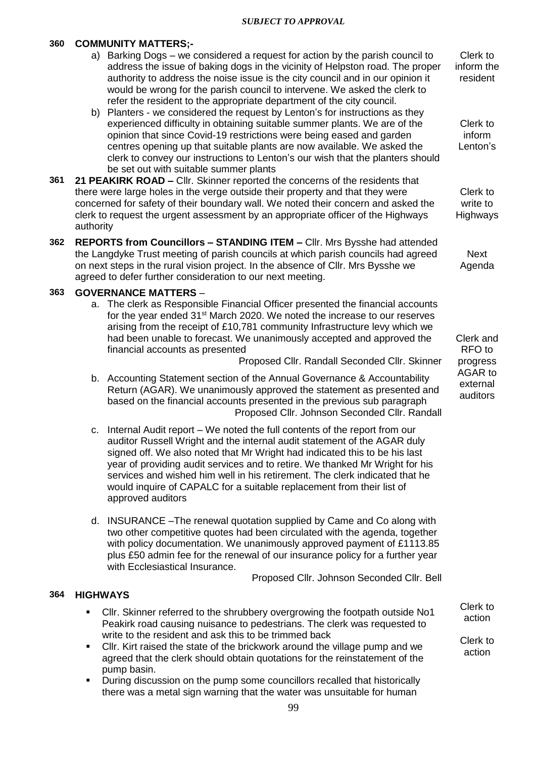#### *SUBJECT TO APPROVAL*

# **360 COMMUNITY MATTERS;-**

- a) Barking Dogs we considered a request for action by the parish council to address the issue of baking dogs in the vicinity of Helpston road. The proper authority to address the noise issue is the city council and in our opinion it would be wrong for the parish council to intervene. We asked the clerk to refer the resident to the appropriate department of the city council.
- b) Planters we considered the request by Lenton's for instructions as they experienced difficulty in obtaining suitable summer plants. We are of the opinion that since Covid-19 restrictions were being eased and garden centres opening up that suitable plants are now available. We asked the clerk to convey our instructions to Lenton's our wish that the planters should be set out with suitable summer plants
- **361 21 PEAKIRK ROAD –** Cllr. Skinner reported the concerns of the residents that there were large holes in the verge outside their property and that they were concerned for safety of their boundary wall. We noted their concern and asked the clerk to request the urgent assessment by an appropriate officer of the Highways authority
- **362 REPORTS from Councillors – STANDING ITEM –** Cllr. Mrs Bysshe had attended the Langdyke Trust meeting of parish councils at which parish councils had agreed on next steps in the rural vision project. In the absence of Cllr. Mrs Bysshe we agreed to defer further consideration to our next meeting.

### **363 GOVERNANCE MATTERS** –

a. The clerk as Responsible Financial Officer presented the financial accounts for the year ended  $31<sup>st</sup>$  March 2020. We noted the increase to our reserves arising from the receipt of £10,781 community Infrastructure levy which we had been unable to forecast. We unanimously accepted and approved the financial accounts as presented

Proposed Cllr. Randall Seconded Cllr. Skinner

- b. Accounting Statement section of the Annual Governance & Accountability Return (AGAR). We unanimously approved the statement as presented and based on the financial accounts presented in the previous sub paragraph Proposed Cllr. Johnson Seconded Cllr. Randall
- c. Internal Audit report We noted the full contents of the report from our auditor Russell Wright and the internal audit statement of the AGAR duly signed off. We also noted that Mr Wright had indicated this to be his last year of providing audit services and to retire. We thanked Mr Wright for his services and wished him well in his retirement. The clerk indicated that he would inquire of CAPALC for a suitable replacement from their list of approved auditors
- d. INSURANCE –The renewal quotation supplied by Came and Co along with two other competitive quotes had been circulated with the agenda, together with policy documentation. We unanimously approved payment of £1113.85 plus £50 admin fee for the renewal of our insurance policy for a further year with Ecclesiastical Insurance.

Proposed Cllr. Johnson Seconded Cllr. Bell

#### **364 HIGHWAYS**

- Cllr. Skinner referred to the shrubbery overgrowing the footpath outside No1 Peakirk road causing nuisance to pedestrians. The clerk was requested to write to the resident and ask this to be trimmed back Clerk to action Clerk to
- Cllr. Kirt raised the state of the brickwork around the village pump and we agreed that the clerk should obtain quotations for the reinstatement of the pump basin.
- During discussion on the pump some councillors recalled that historically there was a metal sign warning that the water was unsuitable for human

Clerk to inform the resident

Clerk to inform Lenton's

Clerk to write to **Highways** 

Next Agenda

Clerk and RFO to progress AGAR to external auditors

action